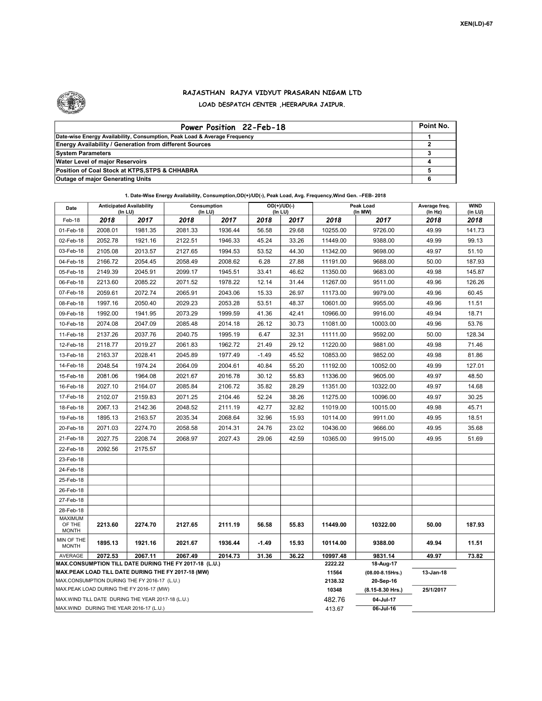

## RAJASTHAN RAJYA VIDYUT PRASARAN NIGAM LTD LOAD DESPATCH CENTER ,HEERAPURA JAIPUR.

| Power Position 22-Feb-18                                                  | Point No. |
|---------------------------------------------------------------------------|-----------|
| Date-wise Energy Availability, Consumption, Peak Load & Average Frequency |           |
| <b>Energy Availability / Generation from different Sources</b>            |           |
| <b>System Parameters</b>                                                  |           |
| <b>Water Level of major Reservoirs</b>                                    |           |
| Position of Coal Stock at KTPS, STPS & CHHABRA                            |           |
| <b>Outage of major Generating Units</b>                                   |           |

| Date                                                                                               | <b>Anticipated Availability</b><br>(In LU) |         | Consumption<br>(In LU) |         | $OD(+)/UD(-)$<br>(In LU) |                  | Peak Load<br>(In MW)               |                  | Average freq.<br>(In Hz) | <b>WIND</b><br>(in LU) |
|----------------------------------------------------------------------------------------------------|--------------------------------------------|---------|------------------------|---------|--------------------------|------------------|------------------------------------|------------------|--------------------------|------------------------|
| Feb-18                                                                                             | 2018                                       | 2017    | 2018                   | 2017    | 2018                     | 2017             | 2018                               | 2017             | 2018                     | 2018                   |
| 01-Feb-18                                                                                          | 2008.01                                    | 1981.35 | 2081.33                | 1936.44 | 56.58                    | 29.68            | 10255.00                           | 9726.00          | 49.99                    | 141.73                 |
| 02-Feb-18                                                                                          | 2052.78                                    | 1921.16 | 2122.51                | 1946.33 | 45.24                    | 33.26            | 11449.00                           | 9388.00          | 49.99                    | 99.13                  |
| 03-Feb-18                                                                                          | 2105.08                                    | 2013.57 | 2127.65                | 1994.53 | 53.52                    | 44.30            | 11342.00                           | 9698.00          | 49.97                    | 51.10                  |
| 04-Feb-18                                                                                          | 2166.72                                    | 2054.45 | 2058.49                | 2008.62 | 6.28                     | 27.88            | 11191.00                           | 9688.00          | 50.00                    | 187.93                 |
| 05-Feb-18                                                                                          | 2149.39                                    | 2045.91 | 2099.17                | 1945.51 | 33.41                    | 46.62            | 11350.00                           | 9683.00          | 49.98                    | 145.87                 |
| 06-Feb-18                                                                                          | 2213.60                                    | 2085.22 | 2071.52                | 1978.22 | 12.14                    | 31.44            | 11267.00                           | 9511.00          | 49.96                    | 126.26                 |
| 07-Feb-18                                                                                          | 2059.61                                    | 2072.74 | 2065.91                | 2043.06 | 15.33                    | 26.97            | 11173.00                           | 9979.00          | 49.96                    | 60.45                  |
| 08-Feb-18                                                                                          | 1997.16                                    | 2050.40 | 2029.23                | 2053.28 | 53.51                    | 48.37            | 10601.00                           | 9955.00          | 49.96                    | 11.51                  |
| 09-Feb-18                                                                                          | 1992.00                                    | 1941.95 | 2073.29                | 1999.59 | 41.36                    | 42.41            | 10966.00                           | 9916.00          | 49.94                    | 18.71                  |
| 10-Feb-18                                                                                          | 2074.08                                    | 2047.09 | 2085.48                | 2014.18 | 26.12                    | 30.73            | 11081.00                           | 10003.00         | 49.96                    | 53.76                  |
| 11-Feb-18                                                                                          | 2137.26                                    | 2037.76 | 2040.75                | 1995.19 | 6.47                     | 32.31            | 11111.00                           | 9592.00          | 50.00                    | 128.34                 |
| 12-Feb-18                                                                                          | 2118.77                                    | 2019.27 | 2061.83                | 1962.72 | 21.49                    | 29.12            | 11220.00                           | 9881.00          | 49.98                    | 71.46                  |
| 13-Feb-18                                                                                          | 2163.37                                    | 2028.41 | 2045.89                | 1977.49 | $-1.49$                  | 45.52            | 10853.00                           | 9852.00          | 49.98                    | 81.86                  |
| 14-Feb-18                                                                                          | 2048.54                                    | 1974.24 | 2064.09                | 2004.61 | 40.84                    | 55.20            | 11192.00                           | 10052.00         | 49.99                    | 127.01                 |
| 15-Feb-18                                                                                          | 2081.06                                    | 1964.08 | 2021.67                | 2016.78 | 30.12                    | 55.83            | 11336.00                           | 9605.00          | 49.97                    | 48.50                  |
| 16-Feb-18                                                                                          | 2027.10                                    | 2164.07 | 2085.84                | 2106.72 | 35.82                    | 28.29            | 11351.00                           | 10322.00         | 49.97                    | 14.68                  |
| 17-Feb-18                                                                                          | 2102.07                                    | 2159.83 | 2071.25                | 2104.46 | 52.24                    | 38.26            | 11275.00                           | 10096.00         | 49.97                    | 30.25                  |
| 18-Feb-18                                                                                          | 2067.13                                    | 2142.36 | 2048.52                | 2111.19 | 42.77                    | 32.82            | 11019.00                           | 10015.00         | 49.98                    | 45.71                  |
| 19-Feb-18                                                                                          | 1895.13                                    | 2163.57 | 2035.34                | 2068.64 | 32.96                    | 15.93            | 10114.00                           | 9911.00          | 49.95                    | 18.51                  |
| 20-Feb-18                                                                                          | 2071.03                                    | 2274.70 | 2058.58                | 2014.31 | 24.76                    | 23.02            | 10436.00                           | 9666.00          | 49.95                    | 35.68                  |
| 21-Feb-18                                                                                          | 2027.75                                    | 2208.74 | 2068.97                | 2027.43 | 29.06                    | 42.59            | 10365.00                           | 9915.00          | 49.95                    | 51.69                  |
| 22-Feb-18                                                                                          | 2092.56                                    | 2175.57 |                        |         |                          |                  |                                    |                  |                          |                        |
| 23-Feb-18                                                                                          |                                            |         |                        |         |                          |                  |                                    |                  |                          |                        |
| 24-Feb-18                                                                                          |                                            |         |                        |         |                          |                  |                                    |                  |                          |                        |
| 25-Feb-18                                                                                          |                                            |         |                        |         |                          |                  |                                    |                  |                          |                        |
| 26-Feb-18                                                                                          |                                            |         |                        |         |                          |                  |                                    |                  |                          |                        |
| 27-Feb-18                                                                                          |                                            |         |                        |         |                          |                  |                                    |                  |                          |                        |
| 28-Feb-18                                                                                          |                                            |         |                        |         |                          |                  |                                    |                  |                          |                        |
| <b>MAXIMUM</b><br>OF THE<br><b>MONTH</b>                                                           | 2213.60                                    | 2274.70 | 2127.65                | 2111.19 | 56.58                    | 55.83            | 11449.00                           | 10322.00         | 50.00                    | 187.93                 |
| MIN OF THE<br><b>MONTH</b>                                                                         | 1895.13                                    | 1921.16 | 2021.67                | 1936.44 | $-1.49$                  | 15.93            | 10114.00                           | 9388.00          | 49.94                    | 11.51                  |
| AVERAGE                                                                                            | 2072.53                                    | 2067.11 | 2067.49                | 2014.73 | 31.36                    | 36.22            | 10997.48                           | 9831.14          | 49.97                    | 73.82                  |
| MAX.CONSUMPTION TILL DATE DURING THE FY 2017-18 (L.U.)                                             |                                            |         |                        |         |                          |                  | 2222.22                            | 18-Aug-17        |                          |                        |
| MAX.PEAK LOAD TILL DATE DURING THE FY 2017-18 (MW)<br>MAX.CONSUMPTION DURING THE FY 2016-17 (L.U.) |                                            |         |                        |         |                          | 11564<br>2138.32 | $(08.00 - 8.15$ Hrs.)<br>20-Sep-16 | 13-Jan-18        |                          |                        |
| MAX.PEAK LOAD DURING THE FY 2016-17 (MW)                                                           |                                            |         |                        |         |                          |                  | 10348                              | (8.15-8.30 Hrs.) | 25/1/2017                |                        |
| MAX. WIND TILL DATE DURING THE YEAR 2017-18 (L.U.)                                                 |                                            |         |                        |         |                          |                  | 482.76                             | 04-Jul-17        |                          |                        |
| MAX.WIND DURING THE YEAR 2016-17 (L.U.)                                                            |                                            |         |                        |         |                          |                  |                                    | 06-Jul-16        |                          |                        |

1. Date-Wise Energy Availability, Consumption,OD(+)/UD(-), Peak Load, Avg. Frequency,Wind Gen. –FEB- 2018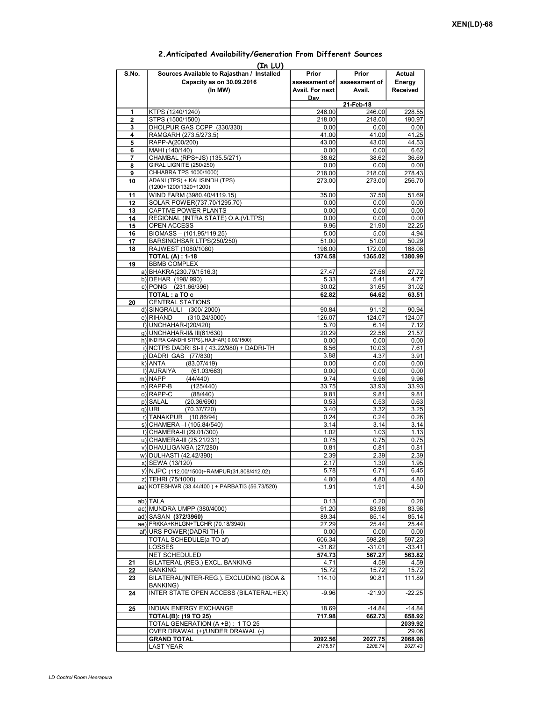|             | (In LU)                                                                            |                                           |                                  |                                     |  |  |  |  |
|-------------|------------------------------------------------------------------------------------|-------------------------------------------|----------------------------------|-------------------------------------|--|--|--|--|
| S.No.       | Sources Available to Rajasthan / Installed<br>Capacity as on 30.09.2016<br>(In MW) | Prior<br>assessment of<br>Avail. For next | Prior<br>assessment of<br>Avail. | Actual<br>Energy<br><b>Received</b> |  |  |  |  |
|             |                                                                                    | Day<br>21-Feb-18                          |                                  |                                     |  |  |  |  |
| 1           | KTPS (1240/1240)                                                                   | 246.00                                    | 246.00                           | 228.55                              |  |  |  |  |
| $\mathbf 2$ | STPS (1500/1500)                                                                   | 218.00                                    | 218.00                           | 190.97                              |  |  |  |  |
| 3           | DHOLPUR GAS CCPP (330/330)                                                         | 0.00                                      | 0.00                             | 0.00                                |  |  |  |  |
| 4           | RAMGARH (273.5/273.5)                                                              | 41.00                                     | 41.00                            | 41.25                               |  |  |  |  |
| 5           | RAPP-A(200/200)                                                                    | 43.00                                     | 43.00                            | 44.53                               |  |  |  |  |
| 6           | MAHI (140/140)                                                                     | 0.00                                      | 0.00                             | 6.62                                |  |  |  |  |
| 7           | CHAMBAL (RPS+JS) (135.5/271)                                                       | 38.62                                     | 38.62                            | 36.69                               |  |  |  |  |
| 8           | <b>GIRAL LIGNITE (250/250)</b>                                                     | 0.00                                      | 0.00                             | 0.00                                |  |  |  |  |
| 9           | CHHABRA TPS 1000/1000)                                                             | 218.00                                    | 218.00                           | 278.43                              |  |  |  |  |
| 10          | ADANI (TPS) + KALISINDH (TPS)                                                      | 273.00                                    | 273.00                           | 256.70                              |  |  |  |  |
|             | (1200+1200/1320+1200)                                                              |                                           |                                  |                                     |  |  |  |  |
| 11          | WIND FARM (3980.40/4119.15)                                                        | 35.00                                     | 37.50                            | 51.69                               |  |  |  |  |
| 12          | SOLAR POWER(737.70/1295.70)                                                        | 0.00                                      | 0.00                             | 0.00                                |  |  |  |  |
| 13          | CAPTIVE POWER PLANTS                                                               | 0.00                                      | 0.00                             | 0.00                                |  |  |  |  |
| 14          | REGIONAL (INTRA STATE) O.A. (VLTPS)                                                | 0.00                                      | 0.00                             | 0.00                                |  |  |  |  |
| 15          | OPEN ACCESS                                                                        | 9.96                                      | 21.90                            | 22.25                               |  |  |  |  |
| 16          | BIOMASS - (101.95/119.25)                                                          | 5.00                                      | 5.00                             | 4.94                                |  |  |  |  |
| 17          | BARSINGHSAR LTPS(250/250)                                                          | 51.00                                     | 51.00                            | 50.29                               |  |  |  |  |
| 18          | RAJWEST (1080/1080)                                                                | 196.00                                    | 172.00                           | 168.08                              |  |  |  |  |
|             | <b>TOTAL (A): 1-18</b>                                                             | 1374.58                                   | 1365.02                          | 1380.99                             |  |  |  |  |
| 19          | <b>BBMB COMPLEX</b>                                                                |                                           |                                  |                                     |  |  |  |  |
|             | a) BHAKRA(230.79/1516.3)                                                           | 27.47                                     | 27.56                            | 27.72                               |  |  |  |  |
|             | b) DEHAR (198/990)                                                                 | 5.33                                      | 5.41                             | 4.77                                |  |  |  |  |
|             | c) PONG (231.66/396)                                                               | 30.02                                     | 31.65                            | 31.02                               |  |  |  |  |
|             | TOTAL: a TO c                                                                      | 62.82                                     | 64.62                            | 63.51                               |  |  |  |  |
| 20          | <b>CENTRAL STATIONS</b>                                                            |                                           |                                  |                                     |  |  |  |  |
|             | d) SINGRAULI (300/2000)                                                            | 90.84                                     | 91.12                            | 90.94                               |  |  |  |  |
|             | e) RIHAND<br>(310.24/3000)                                                         | 126.07                                    | 124.07                           | 124.07                              |  |  |  |  |
|             | f) UNCHAHAR-I(20/420)                                                              | 5.70                                      | 6.14                             | 7.12                                |  |  |  |  |
|             | q) UNCHAHAR-II& III(61/630)                                                        | 20.29                                     | 22.56                            | 21.57                               |  |  |  |  |
|             | h) INDIRA GANDHI STPS(JHAJHAR) 0.00/1500)                                          | 0.00                                      | 0.00                             | 0.00                                |  |  |  |  |
|             | i) NCTPS DADRI St-II (43.22/980) + DADRI-TH                                        | 8.56                                      | 10.03                            | 7.61                                |  |  |  |  |
|             | j) DADRI GAS (77/830)                                                              | 3.88                                      | 4.37                             | 3.91                                |  |  |  |  |
|             | k) ANTA<br>(83.07/419)                                                             | 0.00                                      | 0.00                             | 0.00                                |  |  |  |  |
|             | I) AURAIYA<br>(61.03/663)                                                          | 0.00                                      | 0.00                             | 0.00                                |  |  |  |  |
|             | m) NAPP<br>(44/440)                                                                | 9.74                                      | 9.96                             | 9.96                                |  |  |  |  |
|             | $n)$ RAPP-B<br>(125/440)                                                           | 33.75                                     | 33.93                            | 33.93                               |  |  |  |  |
|             | o) RAPP-C<br>(88/440)                                                              | 9.81                                      | 9.81                             | 9.81                                |  |  |  |  |
|             | p) SALAL<br>(20.36/690)                                                            | 0.53                                      | 0.53                             | 0.63                                |  |  |  |  |
|             | (70.37/720)<br>q) URI                                                              | 3.40                                      | 3.32                             | 3.25                                |  |  |  |  |
|             | r) TANAKPUR<br>(10.86/94)                                                          | 0.24                                      | 0.24                             | 0.26                                |  |  |  |  |
|             | s) CHAMERA - (105.84/540)                                                          | 3.14                                      | 3.14                             | 3.14                                |  |  |  |  |
|             | t) CHAMERA-II (29.01/300)                                                          | 1.02                                      | 1.03                             | 1.13                                |  |  |  |  |
|             | u) CHAMERA-III (25.21/231)                                                         | 0.75                                      | 0.75                             | 0.75                                |  |  |  |  |
|             | v) DHAULIGANGA (27/280)                                                            | 0.81                                      | 0.81                             | 0.81                                |  |  |  |  |
|             | w) DULHASTI (42.42/390)                                                            | 2.39                                      | 2.39I                            | 2.39                                |  |  |  |  |
|             | x) SEWA (13/120)                                                                   | 2.17                                      | 1.30                             | 1.95                                |  |  |  |  |
|             | y) NJPC (112.00/1500) + RAMPUR(31.808/412.02)                                      | 5.78                                      | 6.71                             | 6.45                                |  |  |  |  |
|             | z) TEHRI (75/1000)                                                                 | 4.80                                      | 4.80                             | 4.80                                |  |  |  |  |
|             | aa) KOTESHWR (33.44/400) + PARBATI3 (56.73/520)                                    | 1.91                                      | 1.91                             | 4.50                                |  |  |  |  |
|             |                                                                                    |                                           |                                  |                                     |  |  |  |  |
|             | ab) TALA                                                                           | 0.13                                      | 0.20                             | 0.20                                |  |  |  |  |
|             | ac) MUNDRA UMPP (380/4000)                                                         | 91.20                                     | 83.98                            | 83.98                               |  |  |  |  |
|             | ad) SASAN (372/3960)                                                               | 89.34                                     | 85.14                            | 85.14                               |  |  |  |  |
|             | ae) FRKKA+KHLGN+TLCHR (70.18/3940)                                                 | 27.29                                     | 25.44                            | 25.44                               |  |  |  |  |
|             | af) URS POWER(DADRI TH-I)                                                          | 0.00                                      | 0.00                             | 0.00                                |  |  |  |  |
|             | TOTAL SCHEDULE(a TO af)                                                            | 606.34                                    | 598.28                           | 597.23                              |  |  |  |  |
|             | LOSSES                                                                             | $-31.62$                                  | $-31.01$                         | $-33.41$                            |  |  |  |  |
|             | NET SCHEDULED                                                                      | 574.73                                    | 567.27                           | 563.82                              |  |  |  |  |
| 21          | BILATERAL (REG.) EXCL. BANKING                                                     | 4.71                                      | 4.59                             | 4.59                                |  |  |  |  |
| 22          | BANKING                                                                            | 15.72                                     | 15.72                            | 15.72                               |  |  |  |  |
| 23          | BILATERAL(INTER-REG.). EXCLUDING (ISOA &                                           | 114.10                                    | 90.81                            | 111.89                              |  |  |  |  |
| 24          | <b>BANKING)</b><br>INTER STATE OPEN ACCESS (BILATERAL+IEX)                         | $-9.96$                                   | $-21.90$                         | $-22.25$                            |  |  |  |  |
|             |                                                                                    |                                           |                                  |                                     |  |  |  |  |
| 25          | INDIAN ENERGY EXCHANGE                                                             | 18.69                                     | $-14.84$                         | $-14.84$                            |  |  |  |  |
|             | TOTAL(B): (19 TO 25)                                                               | 717.98                                    | 662.73                           | 658.92                              |  |  |  |  |
|             | TOTAL GENERATION (A +B): 1 TO 25                                                   |                                           |                                  | 2039.92                             |  |  |  |  |
|             | OVER DRAWAL (+)/UNDER DRAWAL (-)                                                   |                                           |                                  | 29.06                               |  |  |  |  |
|             | <b>GRAND TOTAL</b>                                                                 | 2092.56                                   | 2027.75                          | 2068.98                             |  |  |  |  |
|             | LAST YEAR                                                                          | 2175.57                                   | 2208.74                          | 2027.43                             |  |  |  |  |

## 2.Anticipated Availability/Generation From Different Sources